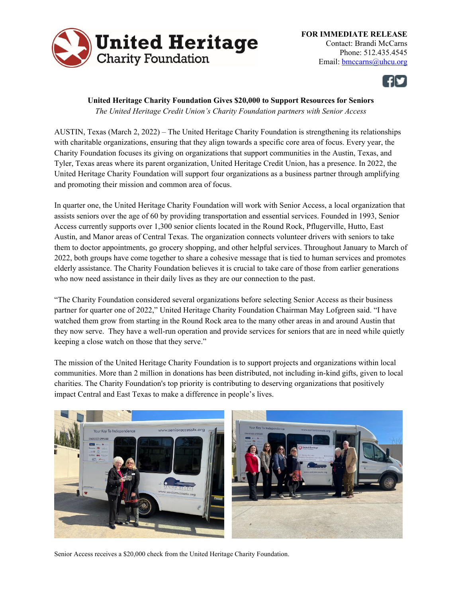

**FOR IMMEDIATE RELEASE**  Contact: Brandi McCarns Phone: 512.435.4545 Email: bmccarns@uhcu.org



## **United Heritage Charity Foundation Gives \$20,000 to Support Resources for Seniors**

*The United Heritage Credit Union's Charity Foundation partners with Senior Access* 

AUSTIN, Texas (March 2, 2022) – The United Heritage Charity Foundation is strengthening its relationships with charitable organizations, ensuring that they align towards a specific core area of focus. Every year, the Charity Foundation focuses its giving on organizations that support communities in the Austin, Texas, and Tyler, Texas areas where its parent organization, United Heritage Credit Union, has a presence. In 2022, the United Heritage Charity Foundation will support four organizations as a business partner through amplifying and promoting their mission and common area of focus.

In quarter one, the United Heritage Charity Foundation will work with Senior Access, a local organization that assists seniors over the age of 60 by providing transportation and essential services. Founded in 1993, Senior Access currently supports over 1,300 senior clients located in the Round Rock, Pflugerville, Hutto, East Austin, and Manor areas of Central Texas. The organization connects volunteer drivers with seniors to take them to doctor appointments, go grocery shopping, and other helpful services. Throughout January to March of 2022, both groups have come together to share a cohesive message that is tied to human services and promotes elderly assistance. The Charity Foundation believes it is crucial to take care of those from earlier generations who now need assistance in their daily lives as they are our connection to the past.

"The Charity Foundation considered several organizations before selecting Senior Access as their business partner for quarter one of 2022," United Heritage Charity Foundation Chairman May Lofgreen said. "I have watched them grow from starting in the Round Rock area to the many other areas in and around Austin that they now serve. They have a well-run operation and provide services for seniors that are in need while quietly keeping a close watch on those that they serve."

The mission of the United Heritage Charity Foundation is to support projects and organizations within local communities. More than 2 million in donations has been distributed, not including in-kind gifts, given to local charities. The Charity Foundation's top priority is contributing to deserving organizations that positively impact Central and East Texas to make a difference in people's lives.



Senior Access receives a \$20,000 check from the United Heritage Charity Foundation.